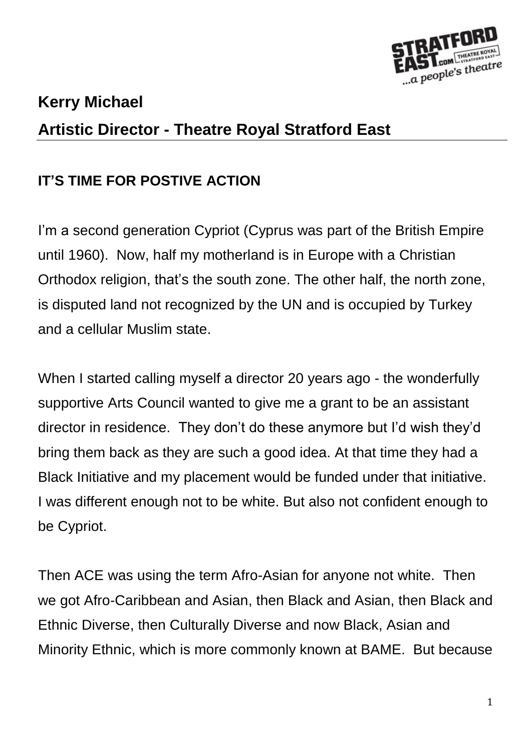

# **Kerry Michael Artistic Director - Theatre Royal Stratford East**

## **IT'S TIME FOR POSTIVE ACTION**

I'm a second generation Cypriot (Cyprus was part of the British Empire until 1960). Now, half my motherland is in Europe with a Christian Orthodox religion, that's the south zone. The other half, the north zone, is disputed land not recognized by the UN and is occupied by Turkey and a cellular Muslim state.

When I started calling myself a director 20 years ago - the wonderfully supportive Arts Council wanted to give me a grant to be an assistant director in residence. They don't do these anymore but I'd wish they'd bring them back as they are such a good idea. At that time they had a Black Initiative and my placement would be funded under that initiative. I was different enough not to be white. But also not confident enough to be Cypriot.

Then ACE was using the term Afro-Asian for anyone not white. Then we got Afro-Caribbean and Asian, then Black and Asian, then Black and Ethnic Diverse, then Culturally Diverse and now Black, Asian and Minority Ethnic, which is more commonly known at BAME. But because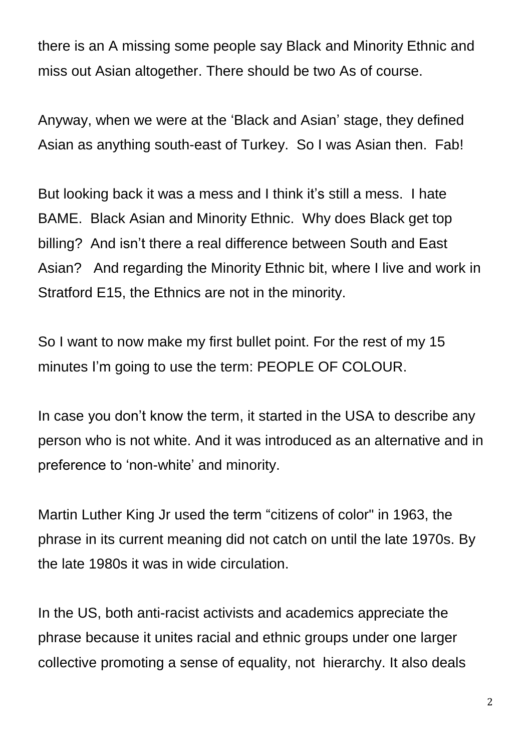there is an A missing some people say Black and Minority Ethnic and miss out Asian altogether. There should be two As of course.

Anyway, when we were at the 'Black and Asian' stage, they defined Asian as anything south-east of Turkey. So I was Asian then. Fab!

But looking back it was a mess and I think it's still a mess. I hate BAME. Black Asian and Minority Ethnic. Why does Black get top billing? And isn't there a real difference between South and East Asian? And regarding the Minority Ethnic bit, where I live and work in Stratford E15, the Ethnics are not in the minority.

So I want to now make my first bullet point. For the rest of my 15 minutes I'm going to use the term: PEOPLE OF COLOUR.

In case you don't know the term, it started in the USA to describe any person who is not white. And it was introduced as an alternative and in preference to 'non-white' and minority.

Martin Luther King Jr used the term "citizens of color" in 1963, the phrase in its current meaning did not catch on until the late 1970s. By the late 1980s it was in wide circulation.

In the US, both anti-racist activists and academics appreciate the phrase because it unites racial and ethnic groups under one larger collective promoting a sense of equality, not hierarchy. It also deals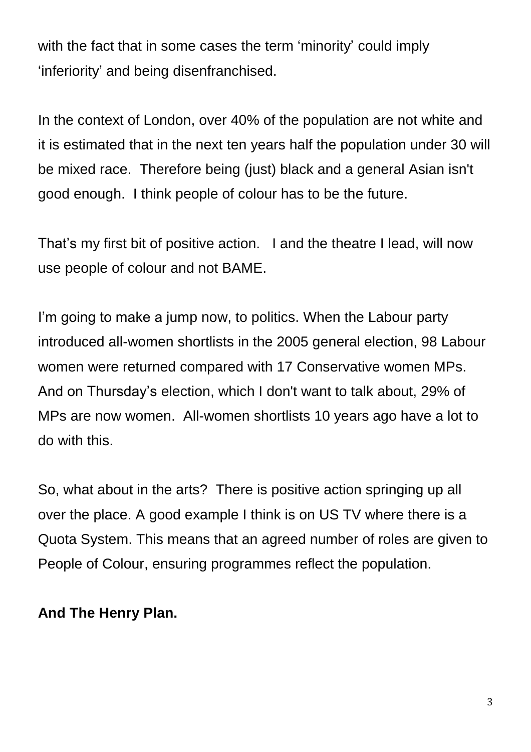with the fact that in some cases the term 'minority' could imply 'inferiority' and being disenfranchised.

In the context of London, over 40% of the population are not white and it is estimated that in the next ten years half the population under 30 will be mixed race. Therefore being (just) black and a general Asian isn't good enough. I think people of colour has to be the future.

That's my first bit of positive action. I and the theatre I lead, will now use people of colour and not BAME.

I'm going to make a jump now, to politics. When the Labour party introduced all-women shortlists in the 2005 general election, 98 Labour women were returned compared with 17 Conservative women MPs. And on Thursday's election, which I don't want to talk about, 29% of MPs are now women. All-women shortlists 10 years ago have a lot to do with this.

So, what about in the arts? There is positive action springing up all over the place. A good example I think is on US TV where there is a Quota System. This means that an agreed number of roles are given to People of Colour, ensuring programmes reflect the population.

### **And The Henry Plan.**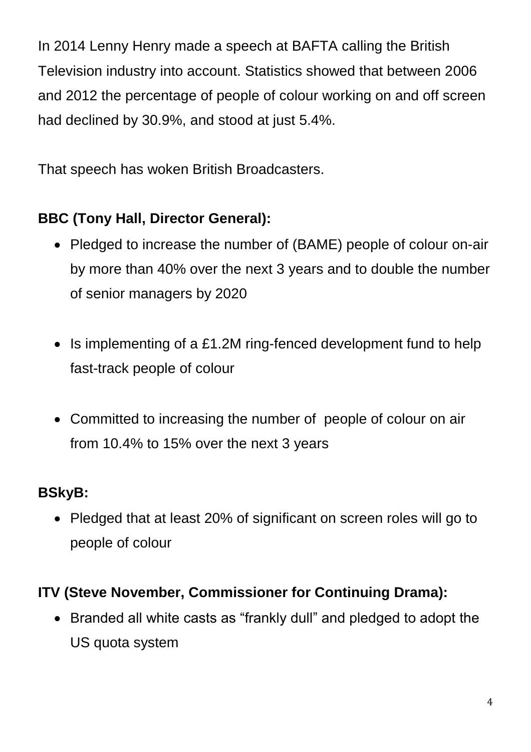In 2014 Lenny Henry made a speech at BAFTA calling the British Television industry into account. Statistics showed that between 2006 and 2012 the percentage of people of colour working on and off screen had declined by 30.9%, and stood at just 5.4%.

That speech has woken British Broadcasters.

## **BBC (Tony Hall, Director General):**

- Pledged to increase the number of (BAME) people of colour on-air by more than 40% over the next 3 years and to double the number of senior managers by 2020
- Is implementing of a £1.2M ring-fenced development fund to help fast-track people of colour
- Committed to increasing the number of people of colour on air from 10.4% to 15% over the next 3 years

### **BSkyB:**

• Pledged that at least 20% of significant on screen roles will go to people of colour

## **ITV (Steve November, Commissioner for Continuing Drama):**

 Branded all white casts as "frankly dull" and pledged to adopt the US quota system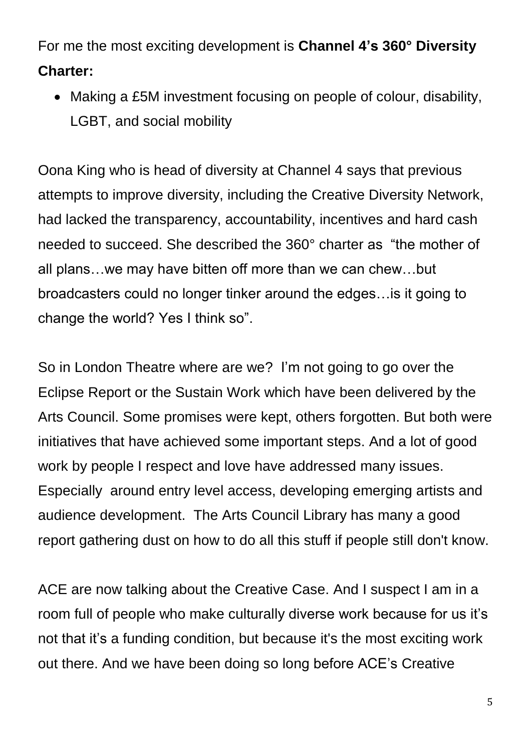For me the most exciting development is **Channel 4's 360° Diversity Charter:**

• Making a £5M investment focusing on people of colour, disability, LGBT, and social mobility

Oona King who is head of diversity at Channel 4 says that previous attempts to improve diversity, including the Creative Diversity Network, had lacked the transparency, accountability, incentives and hard cash needed to succeed. She described the 360° charter as "the mother of all plans…we may have bitten off more than we can chew…but broadcasters could no longer tinker around the edges…is it going to change the world? Yes I think so".

So in London Theatre where are we? I'm not going to go over the Eclipse Report or the Sustain Work which have been delivered by the Arts Council. Some promises were kept, others forgotten. But both were initiatives that have achieved some important steps. And a lot of good work by people I respect and love have addressed many issues. Especially around entry level access, developing emerging artists and audience development. The Arts Council Library has many a good report gathering dust on how to do all this stuff if people still don't know.

ACE are now talking about the Creative Case. And I suspect I am in a room full of people who make culturally diverse work because for us it's not that it's a funding condition, but because it's the most exciting work out there. And we have been doing so long before ACE's Creative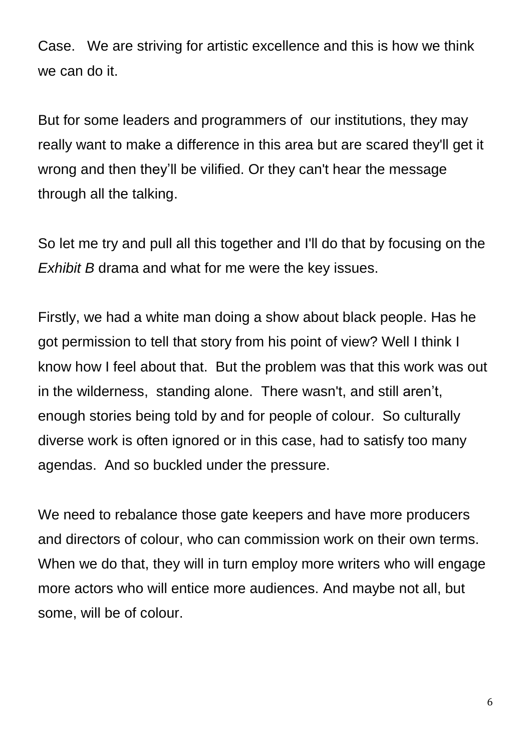Case. We are striving for artistic excellence and this is how we think we can do it.

But for some leaders and programmers of our institutions, they may really want to make a difference in this area but are scared they'll get it wrong and then they'll be vilified. Or they can't hear the message through all the talking.

So let me try and pull all this together and I'll do that by focusing on the *Exhibit B* drama and what for me were the key issues.

Firstly, we had a white man doing a show about black people. Has he got permission to tell that story from his point of view? Well I think I know how I feel about that. But the problem was that this work was out in the wilderness, standing alone. There wasn't, and still aren't, enough stories being told by and for people of colour. So culturally diverse work is often ignored or in this case, had to satisfy too many agendas. And so buckled under the pressure.

We need to rebalance those gate keepers and have more producers and directors of colour, who can commission work on their own terms. When we do that, they will in turn employ more writers who will engage more actors who will entice more audiences. And maybe not all, but some, will be of colour.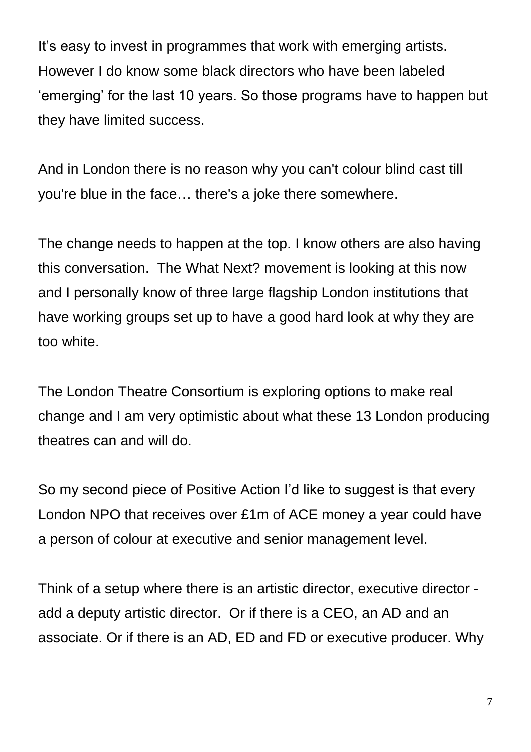It's easy to invest in programmes that work with emerging artists. However I do know some black directors who have been labeled 'emerging' for the last 10 years. So those programs have to happen but they have limited success.

And in London there is no reason why you can't colour blind cast till you're blue in the face… there's a joke there somewhere.

The change needs to happen at the top. I know others are also having this conversation. The What Next? movement is looking at this now and I personally know of three large flagship London institutions that have working groups set up to have a good hard look at why they are too white.

The London Theatre Consortium is exploring options to make real change and I am very optimistic about what these 13 London producing theatres can and will do.

So my second piece of Positive Action I'd like to suggest is that every London NPO that receives over £1m of ACE money a year could have a person of colour at executive and senior management level.

Think of a setup where there is an artistic director, executive director add a deputy artistic director. Or if there is a CEO, an AD and an associate. Or if there is an AD, ED and FD or executive producer. Why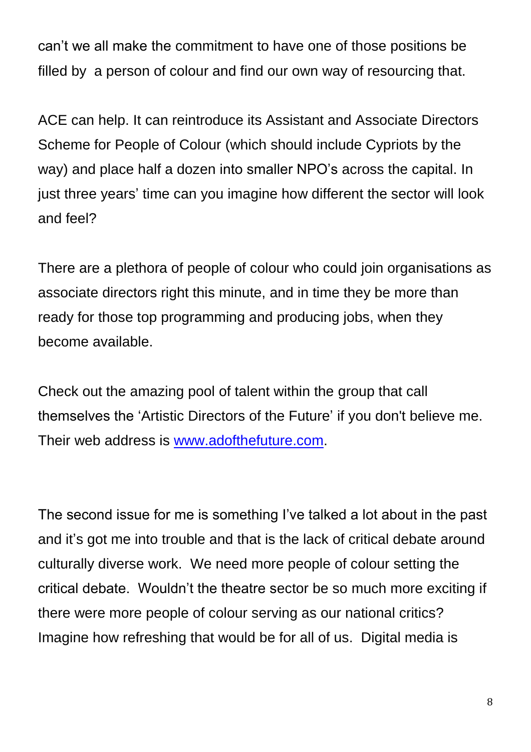can't we all make the commitment to have one of those positions be filled by a person of colour and find our own way of resourcing that.

ACE can help. It can reintroduce its Assistant and Associate Directors Scheme for People of Colour (which should include Cypriots by the way) and place half a dozen into smaller NPO's across the capital. In just three years' time can you imagine how different the sector will look and feel?

There are a plethora of people of colour who could join organisations as associate directors right this minute, and in time they be more than ready for those top programming and producing jobs, when they become available.

Check out the amazing pool of talent within the group that call themselves the 'Artistic Directors of the Future' if you don't believe me. Their web address is [www.adofthefuture.com.](http://www.adofthefuture.com/)

The second issue for me is something I've talked a lot about in the past and it's got me into trouble and that is the lack of critical debate around culturally diverse work. We need more people of colour setting the critical debate. Wouldn't the theatre sector be so much more exciting if there were more people of colour serving as our national critics? Imagine how refreshing that would be for all of us. Digital media is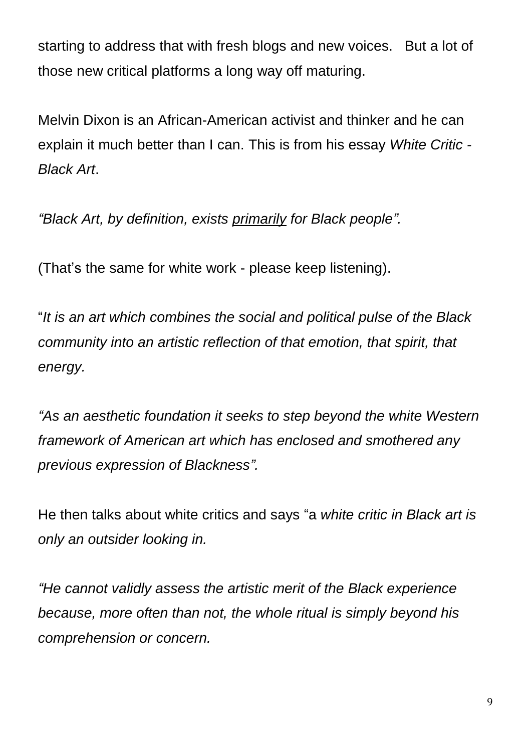starting to address that with fresh blogs and new voices. But a lot of those new critical platforms a long way off maturing.

Melvin Dixon is an African-American activist and thinker and he can explain it much better than I can. This is from his essay *White Critic - Black Art*.

*"Black Art, by definition, exists primarily for Black people".*

(That's the same for white work - please keep listening).

"*It is an art which combines the social and political pulse of the Black community into an artistic reflection of that emotion, that spirit, that energy.*

*"As an aesthetic foundation it seeks to step beyond the white Western framework of American art which has enclosed and smothered any previous expression of Blackness".*

He then talks about white critics and says "a *white critic in Black art is only an outsider looking in.* 

*"He cannot validly assess the artistic merit of the Black experience because, more often than not, the whole ritual is simply beyond his comprehension or concern.*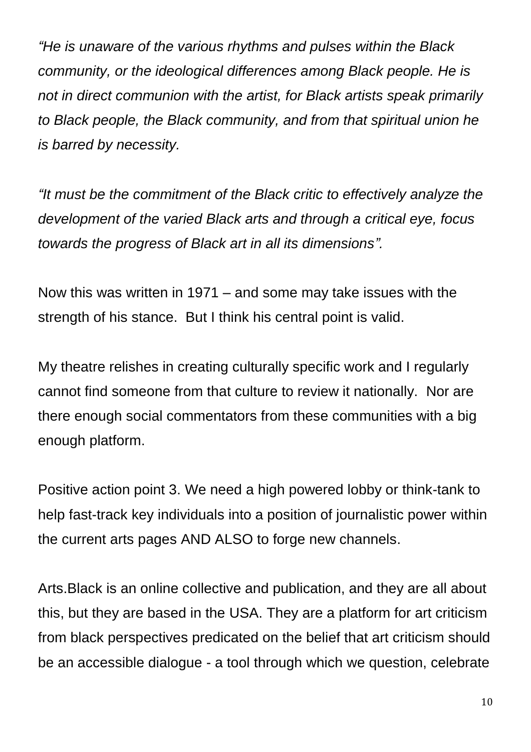*"He is unaware of the various rhythms and pulses within the Black community, or the ideological differences among Black people. He is not in direct communion with the artist, for Black artists speak primarily to Black people, the Black community, and from that spiritual union he is barred by necessity.*

*"It must be the commitment of the Black critic to effectively analyze the development of the varied Black arts and through a critical eye, focus towards the progress of Black art in all its dimensions".*

Now this was written in 1971 – and some may take issues with the strength of his stance. But I think his central point is valid.

My theatre relishes in creating culturally specific work and I regularly cannot find someone from that culture to review it nationally. Nor are there enough social commentators from these communities with a big enough platform.

Positive action point 3. We need a high powered lobby or think-tank to help fast-track key individuals into a position of journalistic power within the current arts pages AND ALSO to forge new channels.

Arts.Black is an online collective and publication, and they are all about this, but they are based in the USA. They are a platform for art criticism from black perspectives predicated on the belief that art criticism should be an accessible dialogue - a tool through which we question, celebrate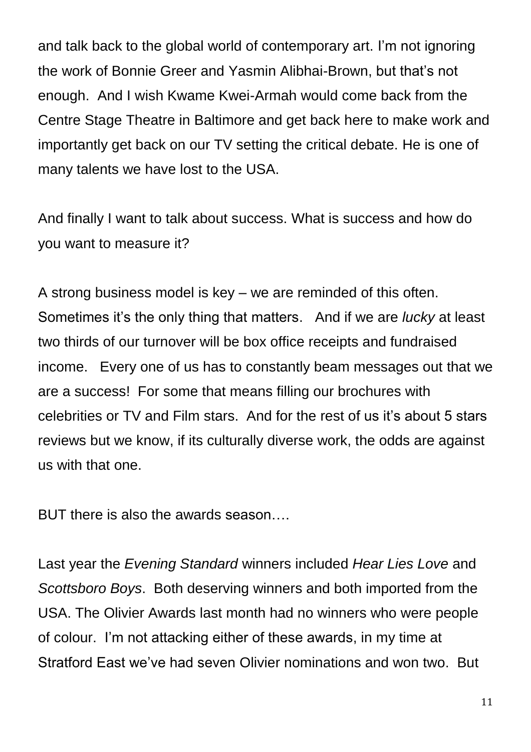and talk back to the global world of contemporary art. I'm not ignoring the work of Bonnie Greer and Yasmin Alibhai-Brown, but that's not enough. And I wish Kwame Kwei-Armah would come back from the Centre Stage Theatre in Baltimore and get back here to make work and importantly get back on our TV setting the critical debate. He is one of many talents we have lost to the USA.

And finally I want to talk about success. What is success and how do you want to measure it?

A strong business model is key – we are reminded of this often. Sometimes it's the only thing that matters. And if we are *lucky* at least two thirds of our turnover will be box office receipts and fundraised income. Every one of us has to constantly beam messages out that we are a success! For some that means filling our brochures with celebrities or TV and Film stars. And for the rest of us it's about 5 stars reviews but we know, if its culturally diverse work, the odds are against us with that one.

BUT there is also the awards season….

Last year the *Evening Standard* winners included *Hear Lies Love* and *Scottsboro Boys*. Both deserving winners and both imported from the USA. The Olivier Awards last month had no winners who were people of colour. I'm not attacking either of these awards, in my time at Stratford East we've had seven Olivier nominations and won two. But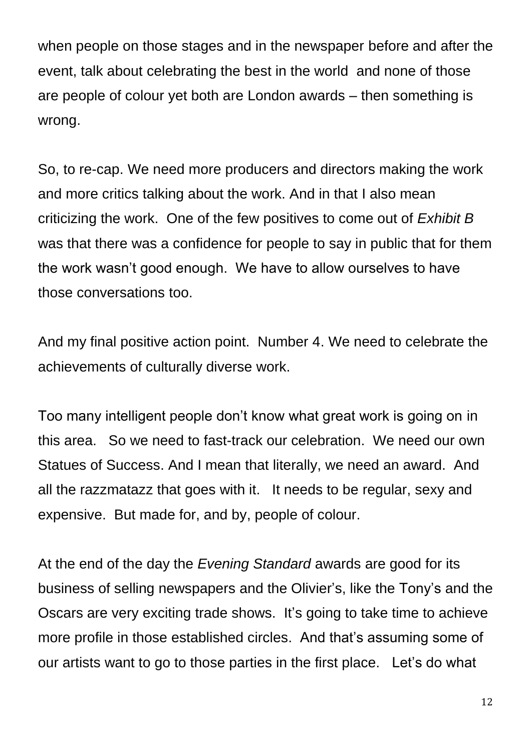when people on those stages and in the newspaper before and after the event, talk about celebrating the best in the world and none of those are people of colour yet both are London awards – then something is wrong.

So, to re-cap. We need more producers and directors making the work and more critics talking about the work. And in that I also mean criticizing the work. One of the few positives to come out of *Exhibit B* was that there was a confidence for people to say in public that for them the work wasn't good enough. We have to allow ourselves to have those conversations too.

And my final positive action point. Number 4. We need to celebrate the achievements of culturally diverse work.

Too many intelligent people don't know what great work is going on in this area. So we need to fast-track our celebration. We need our own Statues of Success. And I mean that literally, we need an award. And all the razzmatazz that goes with it. It needs to be regular, sexy and expensive. But made for, and by, people of colour.

At the end of the day the *Evening Standard* awards are good for its business of selling newspapers and the Olivier's, like the Tony's and the Oscars are very exciting trade shows. It's going to take time to achieve more profile in those established circles. And that's assuming some of our artists want to go to those parties in the first place. Let's do what